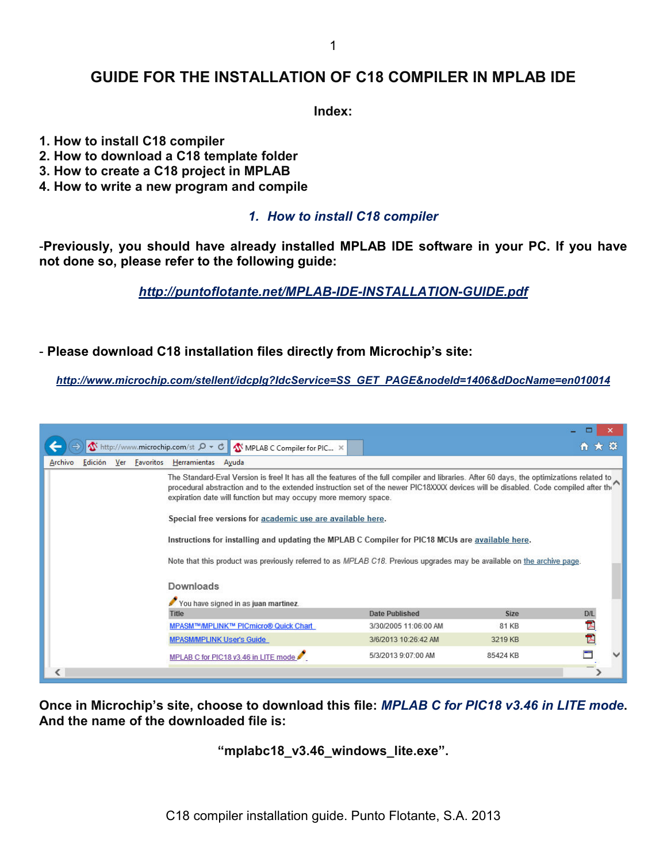# **GUIDE FOR THE INSTALLATION OF C18 COMPILER IN MPLAB IDE**

**Index:** 

**1. How to install C18 compiler** 

- **2. How to download a C18 template folder**
- **3. How to create a C18 project in MPLAB**
- **4. How to write a new program and compile**

## *1. How to install C18 compiler*

-**Previously, you should have already installed MPLAB IDE software in your PC. If you have not done so, please refer to the following guide:** 

*http://puntoflotante.net/MPLAB-IDE-INSTALLATION-GUIDE.pdf*

## - **Please download C18 installation files directly from Microchip's site:**

*http://www.microchip.com/stellent/idcplg?IdcService=SS\_GET\_PAGE&nodeId=1406&dDocName=en010014*

|                                                                        |                                                                                                                                                                                                                                                                                                                                                                                                                    |                       |             | □            |
|------------------------------------------------------------------------|--------------------------------------------------------------------------------------------------------------------------------------------------------------------------------------------------------------------------------------------------------------------------------------------------------------------------------------------------------------------------------------------------------------------|-----------------------|-------------|--------------|
| $\Lambda$ http://www.microchip.com/st $\mathcal{Q} \times \mathcal{C}$ | MPLAB C Compiler for PIC X                                                                                                                                                                                                                                                                                                                                                                                         |                       |             | ← ★ ☆        |
| Edición Ver Favoritos Herramientas<br>Archivo                          | Ayuda                                                                                                                                                                                                                                                                                                                                                                                                              |                       |             |              |
|                                                                        | The Standard-Eval Version is free! It has all the features of the full compiler and libraries. After 60 days, the optimizations related to<br>procedural abstraction and to the extended instruction set of the newer PIC18XXXX devices will be disabled. Code compiled after thr<br>expiration date will function but may occupy more memory space.<br>Special free versions for academic use are available here. |                       |             |              |
|                                                                        | Instructions for installing and updating the MPLAB C Compiler for PIC18 MCUs are available here.<br>Note that this product was previously referred to as MPLAB C18. Previous upgrades may be available on the archive page.<br>Downloads                                                                                                                                                                           |                       |             |              |
|                                                                        |                                                                                                                                                                                                                                                                                                                                                                                                                    |                       |             |              |
|                                                                        | You have signed in as juan martinez.<br>Title                                                                                                                                                                                                                                                                                                                                                                      | <b>Date Published</b> | <b>Size</b> | <b>D/L</b>   |
|                                                                        | MPASM™/MPLINK™ PICmicro® Quick Chart                                                                                                                                                                                                                                                                                                                                                                               | 3/30/2005 11:06:00 AM | 81 KB       | Ā            |
|                                                                        | MPASM/MPLINK User's Guide                                                                                                                                                                                                                                                                                                                                                                                          | 3/6/2013 10:26:42 AM  | 3219 KB     | $\mathbb{Z}$ |
|                                                                        | MPLAB C for PIC18 v3.46 in LITE mode                                                                                                                                                                                                                                                                                                                                                                               | 5/3/2013 9:07:00 AM   | 85424 KB    | ▀            |
|                                                                        |                                                                                                                                                                                                                                                                                                                                                                                                                    |                       |             |              |

**Once in Microchip's site, choose to download this file:** *MPLAB C for PIC18 v3.46 in LITE mode***. And the name of the downloaded file is:** 

**"mplabc18\_v3.46\_windows\_lite.exe".**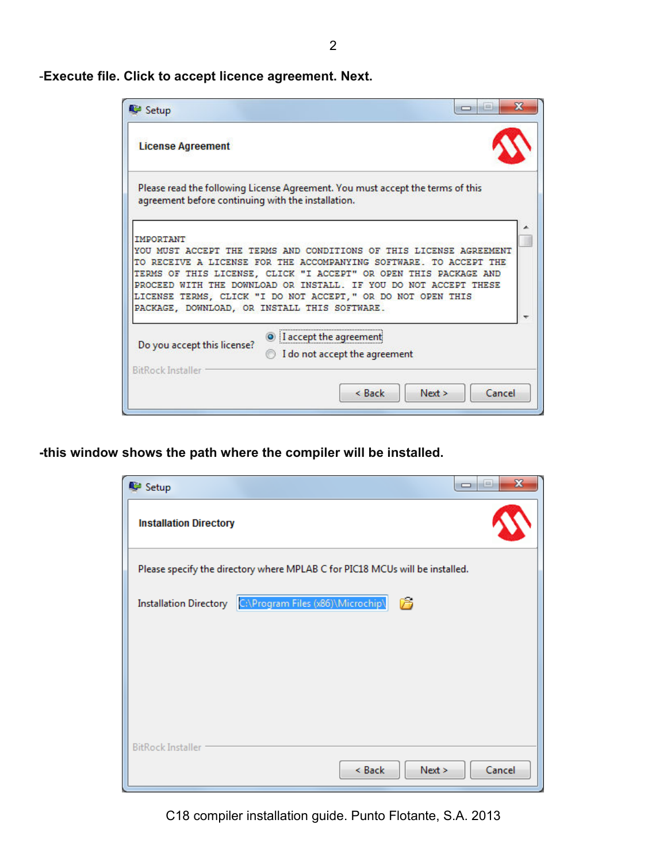-**Execute file. Click to accept licence agreement. Next.** 

| Setup                                                            |                                                                                                                                                                                                                                                                                                                                                |
|------------------------------------------------------------------|------------------------------------------------------------------------------------------------------------------------------------------------------------------------------------------------------------------------------------------------------------------------------------------------------------------------------------------------|
| <b>License Agreement</b>                                         |                                                                                                                                                                                                                                                                                                                                                |
| agreement before continuing with the installation.               | Please read the following License Agreement. You must accept the terms of this                                                                                                                                                                                                                                                                 |
| <b>TMPORTANT</b><br>PACKAGE, DOWNLOAD, OR INSTALL THIS SOFTWARE. | YOU MUST ACCEPT THE TERMS AND CONDITIONS OF THIS LICENSE AGREEMENT<br>TO RECEIVE A LICENSE FOR THE ACCOMPANYING SOFTWARE. TO ACCEPT THE<br>TERMS OF THIS LICENSE, CLICK "I ACCEPT" OR OPEN THIS PACKAGE AND<br>PROCEED WITH THE DOWNLOAD OR INSTALL. IF YOU DO NOT ACCEPT THESE<br>LICENSE TERMS, CLICK "I DO NOT ACCEPT," OR DO NOT OPEN THIS |
| Do you accept this license?<br><b>BitRock Installer</b>          | <sup>1</sup> I accept the agreement<br>I do not accept the agreement                                                                                                                                                                                                                                                                           |
|                                                                  | Cancel<br>$&$ Back<br>Next >                                                                                                                                                                                                                                                                                                                   |

**-this window shows the path where the compiler will be installed.** 

| $\mathbf x$<br><u>— Let</u>                                                  |
|------------------------------------------------------------------------------|
|                                                                              |
| Please specify the directory where MPLAB C for PIC18 MCUs will be installed. |
|                                                                              |
|                                                                              |
|                                                                              |
|                                                                              |
| Cancel                                                                       |
|                                                                              |

C18 compiler installation guide. Punto Flotante, S.A. 2013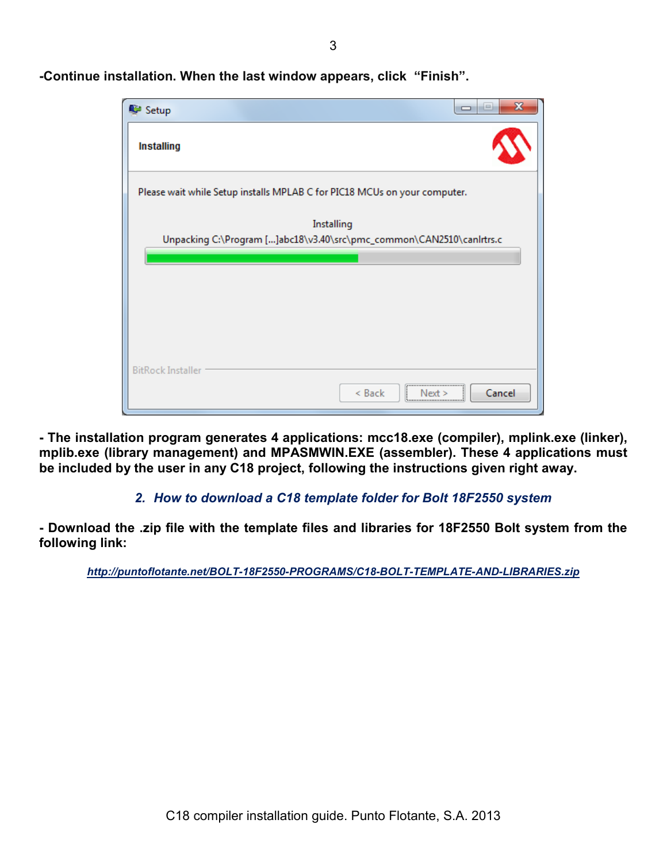3

| Setup                                                                     | ie.    |
|---------------------------------------------------------------------------|--------|
| <b>Installing</b>                                                         |        |
| Please wait while Setup installs MPLAB C for PIC18 MCUs on your computer. |        |
| Installing                                                                |        |
| Unpacking C:\Program []abc18\v3.40\src\pmc_common\CAN2510\canIrtrs.c      |        |
|                                                                           |        |
|                                                                           |        |
|                                                                           |        |
|                                                                           |        |
|                                                                           |        |
|                                                                           |        |
|                                                                           |        |
| <b>BitRock Installer</b>                                                  |        |
| ,,,,,,,,,,,,,,,,,,,,,,,,,,,,,,,,,<br>< Back<br>Nei                        | Cancel |

**-Continue installation. When the last window appears, click "Finish".** 

**- The installation program generates 4 applications: mcc18.exe (compiler), mplink.exe (linker), mplib.exe (library management) and MPASMWIN.EXE (assembler). These 4 applications must be included by the user in any C18 project, following the instructions given right away.** 

# *2. How to download a C18 template folder for Bolt 18F2550 system*

**- Download the .zip file with the template files and libraries for 18F2550 Bolt system from the following link:** 

*http://puntoflotante.net/BOLT-18F2550-PROGRAMS/C18-BOLT-TEMPLATE-AND-LIBRARIES.zip*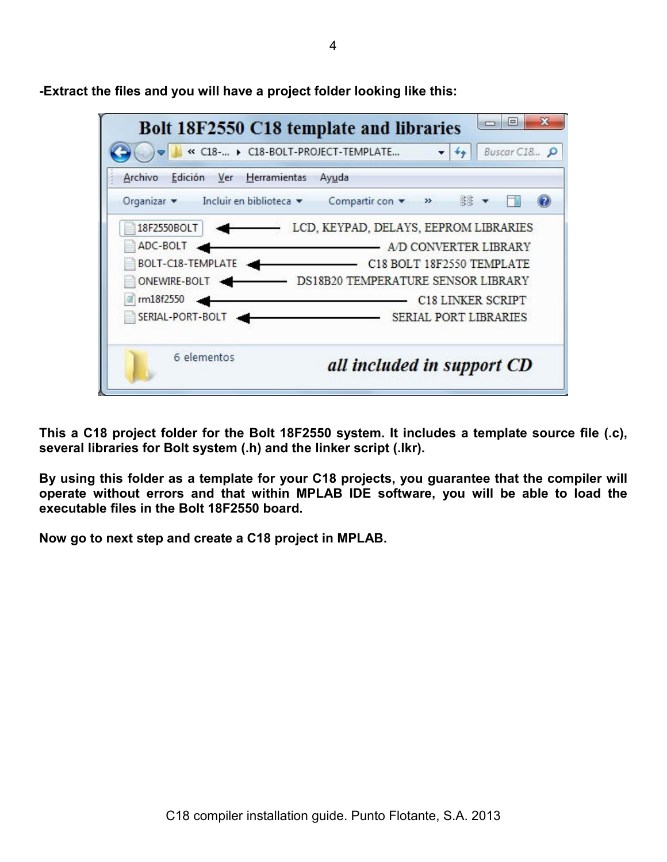$\Box$  $\mathbf{x}$ Bolt 18F2550 C18 template and libraries ■ « C18-... > C18-BOLT-PROJECT-TEMPLATE...  $-14 +$ Buscar C18... Archivo Edición Ver Herramientas Ayuda Organizar \* Incluir en biblioteca \* Compartir con \* 第 ▼ » ы  $\circledcirc$ LCD, KEYPAD, DELAYS, EEPROM LIBRARIES 18F2550BOLT  $\rightarrow$ ADC-BOLT AD CONVERTER LIBRARY BOLT-C18-TEMPLATE C18 BOLT 18F2550 TEMPLATE ONEWIRE-BOLT <abr/>
<br/>
DS18B20 TEMPERATURE SENSOR LIBRARY m18f2550 C18 LINKER SCRIPT SERIAL-PORT-BOLT SERIAL PORT LIBRARIES 6 elementos all included in support CD

**-Extract the files and you will have a project folder looking like this:** 

**This a C18 project folder for the Bolt 18F2550 system. It includes a template source file (.c), several libraries for Bolt system (.h) and the linker script (.lkr).** 

**By using this folder as a template for your C18 projects, you guarantee that the compiler will operate without errors and that within MPLAB IDE software, you will be able to load the executable files in the Bolt 18F2550 board.** 

**Now go to next step and create a C18 project in MPLAB.**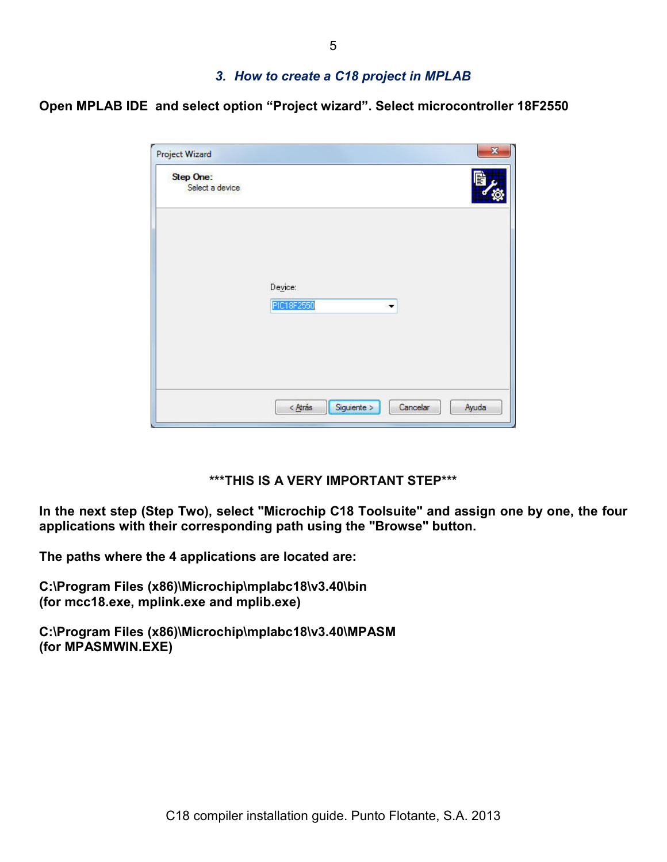## *3. How to create a C18 project in MPLAB*

**Open MPLAB IDE and select option "Project wizard". Select microcontroller 18F2550** 

| <b>Project Wizard</b>               | X                                             |
|-------------------------------------|-----------------------------------------------|
| <b>Step One:</b><br>Select a device |                                               |
|                                     |                                               |
|                                     | Device:<br>PIC18F2550<br>۰                    |
|                                     |                                               |
|                                     | Siguiente ><br>$<$ Atrás<br>Cancelar<br>Ayuda |

## **\*\*\*THIS IS A VERY IMPORTANT STEP\*\*\***

**In the next step (Step Two), select "Microchip C18 Toolsuite" and assign one by one, the four applications with their corresponding path using the "Browse" button.** 

**The paths where the 4 applications are located are:**

**C:\Program Files (x86)\Microchip\mplabc18\v3.40\bin (for mcc18.exe, mplink.exe and mplib.exe)** 

**C:\Program Files (x86)\Microchip\mplabc18\v3.40\MPASM (for MPASMWIN.EXE)**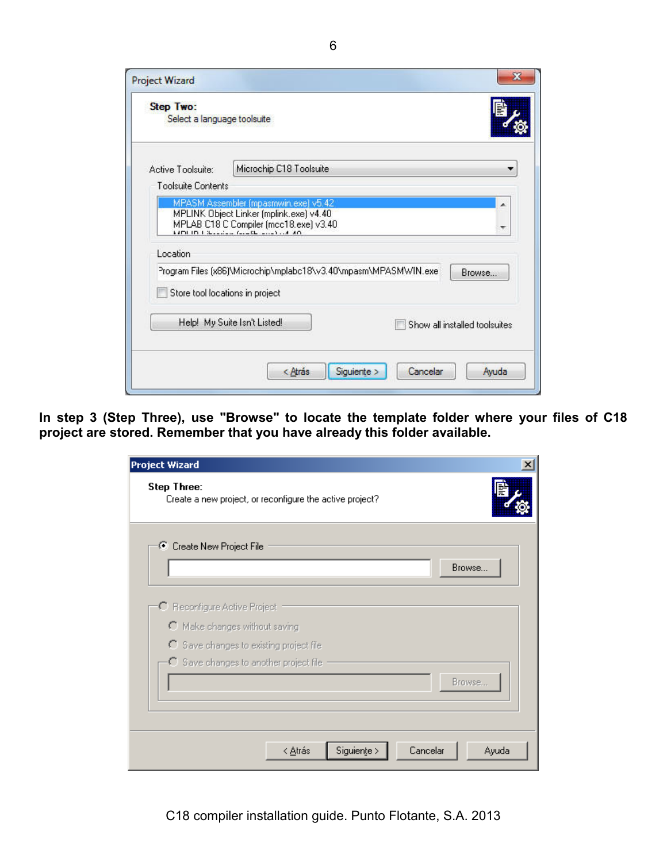| Step Two:<br>Select a language toolsuite |                                                                                                                               |
|------------------------------------------|-------------------------------------------------------------------------------------------------------------------------------|
| Active Toolsuite:                        | Microchip C18 Toolsuite                                                                                                       |
| Toolsuite Contents                       |                                                                                                                               |
|                                          | MPLINK Object Linker (mplink.exe) v4.40<br>MPLAB C18 C Compiler (mcc18.exe) v3.40<br>sami in interested for the countries and |
| Location                                 |                                                                                                                               |
|                                          | Program Files (x86)\Microchip\mplabc18\v3.40\mpasm\MPASMWIN.exe<br>Browse                                                     |
|                                          | Store tool locations in project                                                                                               |
|                                          | Help! My Suite Isn't Listed!<br>Show all installed toolsuites                                                                 |

**In step 3 (Step Three), use "Browse" to locate the template folder where your files of C18 project are stored. Remember that you have already this folder available.** 

| <b>Project Wizard</b>                                                   | $\boldsymbol{\mathsf{x}}$ |
|-------------------------------------------------------------------------|---------------------------|
| Step Three:<br>Create a new project, or reconfigure the active project? |                           |
| C Create New Project File                                               |                           |
|                                                                         | Browse                    |
|                                                                         |                           |
| C Reconfigure Active Project                                            |                           |
| O Make changes without saving                                           |                           |
| C Save changes to existing project file                                 |                           |
| C Save changes to another project file                                  |                           |
|                                                                         | Browse                    |
|                                                                         |                           |
|                                                                         |                           |
|                                                                         |                           |
|                                                                         | Cancelar                  |
| Siguiente ><br>< <u>A</u> trás                                          | Ayuda                     |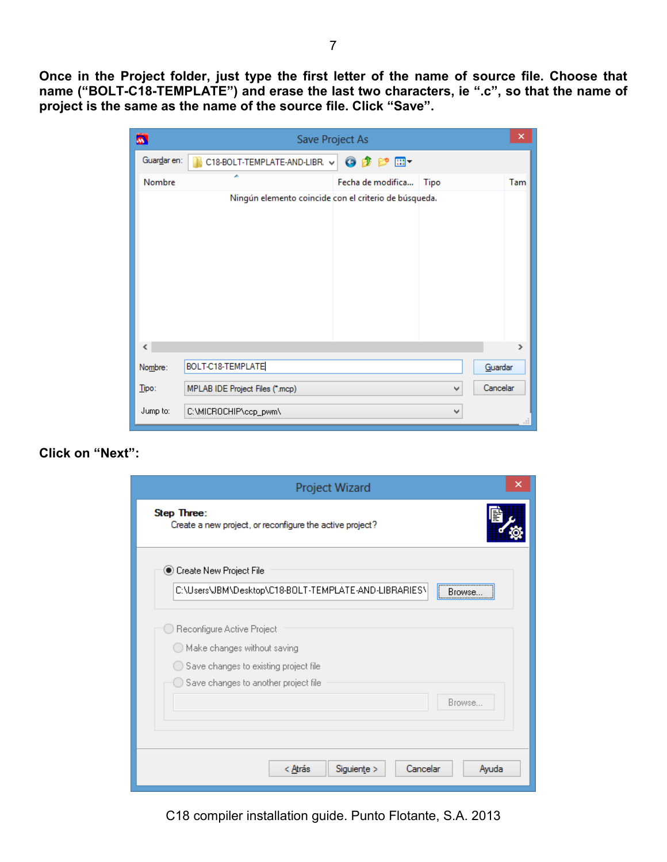**Once in the Project folder, just type the first letter of the name of source file. Choose that name ("BOLT-C18-TEMPLATE") and erase the last two characters, ie ".c", so that the name of project is the same as the name of the source file. Click "Save".** 

| Ä.          |                                                       | Save Project As        |      | ×             |
|-------------|-------------------------------------------------------|------------------------|------|---------------|
| Guardar en: | C18-BOLT-TEMPLATE-AND-LIBR. v                         | $0$ $0$ $0$ $0$ $\Box$ |      |               |
| Nombre      | ×                                                     | Fecha de modifica      | Tipo | Tam           |
|             | Ningún elemento coincide con el criterio de búsqueda. |                        |      |               |
| $\epsilon$  |                                                       |                        |      | $\rightarrow$ |
| Nombre:     | BOLT-C18-TEMPLATE                                     |                        |      | Guardar       |
| Tipo:       | MPLAB IDE Project Files (*.mcp)                       |                        | ٧    | Cancelar      |
| Jump to:    | C:\MICROCHIP\ccp_pwm\                                 |                        | ٧    | ai.           |

## **Click on "Next":**

| ×<br>Project Wizard                                                     |
|-------------------------------------------------------------------------|
| Step Three:<br>Create a new project, or reconfigure the active project? |
| Create New Project File                                                 |
| C:\Users\JBM\Desktop\C18-BOLT-TEMPLATE-AND-LIBRARIES\<br>l<br>Browse.   |
| Reconfigure Active Project                                              |
| $\bigcirc$ Make changes without saving                                  |
| Save changes to existing project file                                   |
| Save changes to another project file                                    |
| Browse                                                                  |
|                                                                         |
|                                                                         |
| Cancelar                                                                |
| Ayuda<br>< Atrás<br>Siguiente                                           |

C18 compiler installation guide. Punto Flotante, S.A. 2013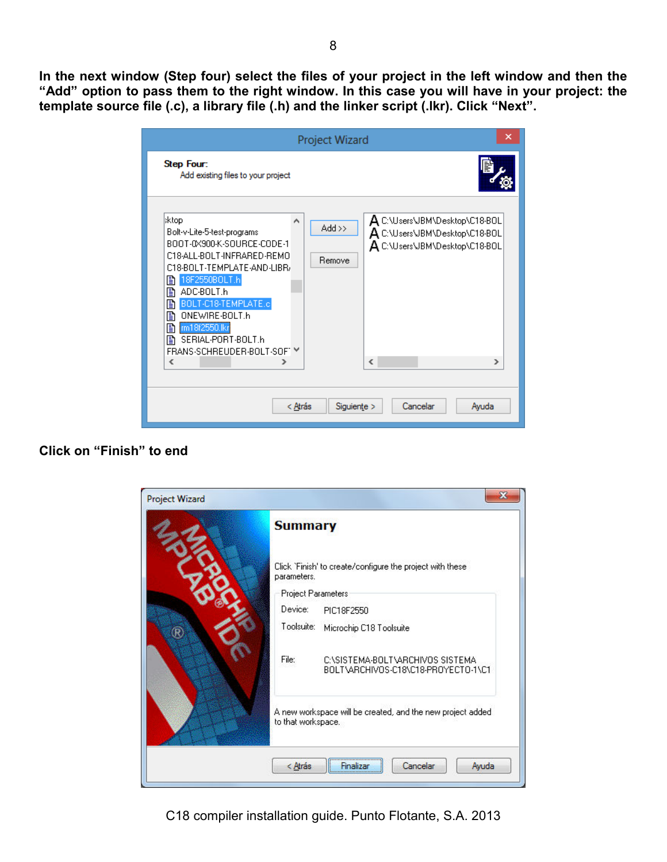**In the next window (Step four) select the files of your project in the left window and then the "Add" option to pass them to the right window. In this case you will have in your project: the template source file (.c), a library file (.h) and the linker script (.lkr). Click "Next".** 

|                                                                                                                                                                                                                                                                                                                       | ×<br>Project Wizard                                                                                                                                                  |
|-----------------------------------------------------------------------------------------------------------------------------------------------------------------------------------------------------------------------------------------------------------------------------------------------------------------------|----------------------------------------------------------------------------------------------------------------------------------------------------------------------|
| Step Four:<br>Add existing files to your project                                                                                                                                                                                                                                                                      |                                                                                                                                                                      |
| :ktop<br>^<br>Bolt-v-Lite-5-test-programs<br>BOOT-0X900-K-SOLIBCE-CODE-1<br>C18-ALL-BOLT-INFRARED-REMO<br>C18-BOLT-TEMPLATE-AND-LIBR/<br>18F2550BOLT.h<br>B<br>ADC-BOLT.h<br>B<br>BOLT-C18-TEMPLATE.c<br>B<br>ONEWIRE-BOLT.h<br>ß<br>m18f2550.lkr<br>B<br>SERIAL-PORT-BOLT.h<br>Ð<br>FRANS-SCHREUDER-BOLT-SOFT ™<br>∢ | A C:\Users\JBM\Desktop\C18-BOL<br>$Add \gg$<br>$\mathsf A$ C:\Users\JBM\Desktop\C18-B0L<br>A C:\Users\JBM\Desktop\C18-BOL<br>Remove<br>$\overline{\phantom{a}}$<br>⋗ |
| < Atrás                                                                                                                                                                                                                                                                                                               | Cancelar<br>Siguiente ><br>Avuda                                                                                                                                     |

# **Click on "Finish" to end**

| <b>Summary</b>     |                                                                        |
|--------------------|------------------------------------------------------------------------|
| parameters.        | Click 'Finish' to create/configure the project with these              |
| Project Parameters |                                                                        |
| Device:            | PIC18F2550                                                             |
| Toolsuite:         | Microchip C18 Toolsuite                                                |
| File:              | CASISTEMA-BOLTAARCHIVOS SISTEMA<br>BOLT\ARCHIVOS-C18\C18-PROYECTO-1\C1 |
| to that workspace. | A new workspace will be created, and the new project added.            |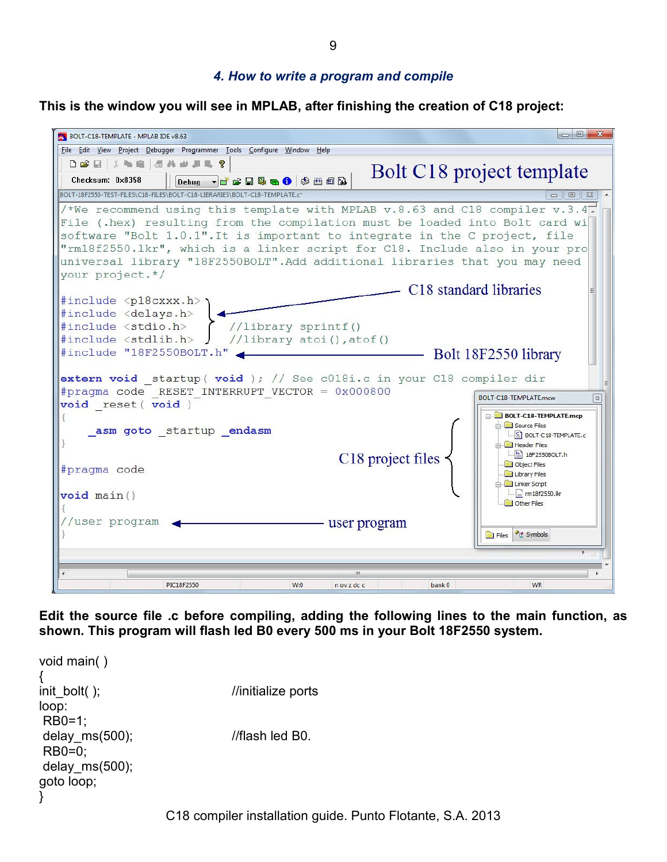9

## *4. How to write a program and compile*

**This is the window you will see in MPLAB, after finishing the creation of C18 project:** 



**Edit the source file .c before compiling, adding the following lines to the main function, as shown. This program will flash led B0 every 500 ms in your Bolt 18F2550 system.** 

```
C18 compiler installation guide. Punto Flotante, S.A. 2013 
void main( ) 
{ 
init_bolt( ); //initialize ports
loop: 
 RB0=1; 
delay ms(500); //flash led B0.
 RB0=0; 
delay ms(500);
goto loop; 
}
```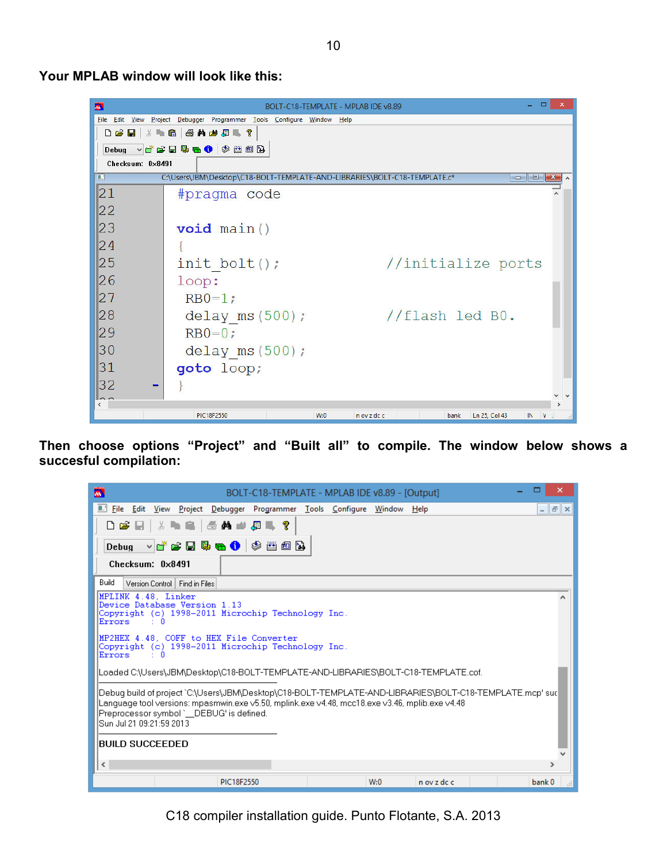BOLT-C18-TEMPLATE - MPLAB IDE v8.89  $\begin{array}{c|c|c|c|c} \hline \multicolumn{1}{c|}{\mathbf{w}} & \multicolumn{1}{c|}{\mathbf{w}} & \multicolumn{1}{c|}{\mathbf{w}} & \multicolumn{1}{c|}{\mathbf{w}} & \multicolumn{1}{c|}{\mathbf{w}} & \multicolumn{1}{c|}{\mathbf{w}} & \multicolumn{1}{c|}{\mathbf{w}} & \multicolumn{1}{c|}{\mathbf{w}} & \multicolumn{1}{c|}{\mathbf{w}} & \multicolumn{1}{c|}{\mathbf{w}} & \multicolumn{1}{c|}{\mathbf{w}} & \multicolumn{1}{c|}{\mathbf{w$ 圜 File Edit View Project Debugger Programmer Tools Configure Window Help D S H | & b & | 3 A & J & ? Debug vice B & O (\$ 88 B Checksum: 0x8491 C:\Users\JBM\Desktop\C18-BOLT-TEMPLATE-AND-LIBRARIES\BOLT-C18-TEMPLATE.c\*  $|21\rangle$ #pragma code  $\overline{\phantom{a}}$ 22 23  $void main()$  $\overline{24}$  $\left\{ \right.$ 25  $init$  bolt(); //initialize ports 26  $loop:$ 27  $RB0=1;$ 28 delay  $ms(500)$ ; //flash led B0.  $|29$  $RB0=0;$ 30 delay  $ms(500)$ ;  $|31|$ goto loop;  $|32|$  $\sim$   $\sim$ PIC18F2550  $W:0$  $\bar{n}$ ov z dc c bank Ln 25, Col 43  $\mathbb{I}$  $\mathbf{v}$ 

**Then choose options "Project" and "Built all" to compile. The window below shows a succesful compilation:** 

| □<br>×<br>BOLT-C18-TEMPLATE - MPLAB IDE v8.89 - [Output]<br>M.                                                                                                                                                                                                                    |
|-----------------------------------------------------------------------------------------------------------------------------------------------------------------------------------------------------------------------------------------------------------------------------------|
| Eile Edit View Project Debugger Programmer Tools Configure Window Help<br>$ \mathbf{F}$ $\times$                                                                                                                                                                                  |
| D & E   & L &   5 A # 8 & R                                                                                                                                                                                                                                                       |
| ve se 5 <del>o 0</del> 0 3 a d<br><b>Debug</b>                                                                                                                                                                                                                                    |
| Checksum: 0x8491                                                                                                                                                                                                                                                                  |
| Build<br>Version Control   Find in Files                                                                                                                                                                                                                                          |
| MPLINK 4.48. Linker<br>Device Database Version 1.13<br>Copyright (c) 1998-2011 Microchip Technology Inc.<br>Errors.<br>• п                                                                                                                                                        |
| MP2HEX 4.48. COFF to HEX File Converter<br>Copyright (c) 1998-2011 Microchip Technology Inc.<br>Errors<br>- 10                                                                                                                                                                    |
| Loaded C:\Users\JBM\Desktop\C18-BOLT-TEMPLATE-AND-LIBRARIES\BOLT-C18-TEMPLATE.cof.                                                                                                                                                                                                |
| Debuq build of project `C:\Users\JBM\Desktop\C18-BOLT-TEMPLATE-AND-LIBRARIES\BOLT-C18-TEMPLATE.mcp' suc<br>Language tool versions: mpasmwin.exe v5.50, mplink.exe v4.48, mcc18.exe v3.46, mplib.exe v4.48<br>Preprocessor symbol ` DEBUG' is defined.<br>Sun Jul 21 09:21:59 2013 |
| BUILD SUCCEEDED                                                                                                                                                                                                                                                                   |
| $\,<\,$<br>$\rightarrow$                                                                                                                                                                                                                                                          |
| PIC18F2550<br>W:0<br>n ov z dc c<br>bank 0<br><b>A</b>                                                                                                                                                                                                                            |

**Your MPLAB window will look like this:** 

C18 compiler installation guide. Punto Flotante, S.A. 2013